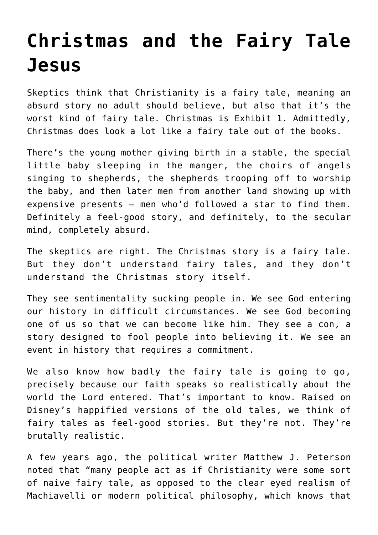## **[Christmas and the Fairy Tale](https://www.osvnews.com/2021/12/29/christmas-and-the-fairy-tale-jesus/) [Jesus](https://www.osvnews.com/2021/12/29/christmas-and-the-fairy-tale-jesus/)**

Skeptics think that Christianity is a fairy tale, meaning an absurd story no adult should believe, but also that it's the worst kind of fairy tale. Christmas is Exhibit 1. Admittedly, Christmas does look a lot like a fairy tale out of the books.

There's the young mother giving birth in a stable, the special little baby sleeping in the manger, the choirs of angels singing to shepherds, the shepherds trooping off to worship the baby, and then later men from another land showing up with expensive presents — men who'd followed a star to find them. Definitely a feel-good story, and definitely, to the secular mind, completely absurd.

The skeptics are right. The Christmas story is a fairy tale. But they don't understand fairy tales, and they don't understand the Christmas story itself.

They see sentimentality sucking people in. We see God entering our history in difficult circumstances. We see God becoming one of us so that we can become like him. They see a con, a story designed to fool people into believing it. We see an event in history that requires a commitment.

We also know how badly the fairy tale is going to go, precisely because our faith speaks so realistically about the world the Lord entered. That's important to know. Raised on Disney's happified versions of the old tales, we think of fairy tales as feel-good stories. But they're not. They're brutally realistic.

A few years ago, the political writer Matthew J. Peterson noted that "many people act as if Christianity were some sort of naive fairy tale, as opposed to the clear eyed realism of Machiavelli or modern political philosophy, which knows that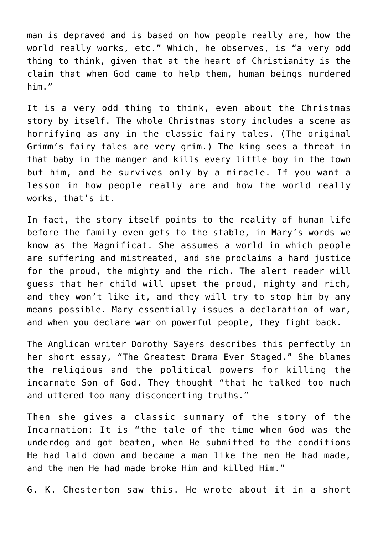man is depraved and is based on how people really are, how the world really works, etc." Which, he observes, is "a very odd thing to think, given that at the heart of Christianity is the claim that when God came to help them, human beings murdered him."

It is a very odd thing to think, even about the Christmas story by itself. The whole Christmas story includes a scene as horrifying as any in the classic fairy tales. (The original Grimm's fairy tales are very grim.) The king sees a threat in that baby in the manger and kills every little boy in the town but him, and he survives only by a miracle. If you want a lesson in how people really are and how the world really works, that's it.

In fact, the story itself points to the reality of human life before the family even gets to the stable, in Mary's words we know as the Magnificat. She assumes a world in which people are suffering and mistreated, and she proclaims a hard justice for the proud, the mighty and the rich. The alert reader will guess that her child will upset the proud, mighty and rich, and they won't like it, and they will try to stop him by any means possible. Mary essentially issues a declaration of war, and when you declare war on powerful people, they fight back.

The Anglican writer Dorothy Sayers describes this perfectly in her short essay, "The Greatest Drama Ever Staged." She blames the religious and the political powers for killing the incarnate Son of God. They thought "that he talked too much and uttered too many disconcerting truths."

Then she gives a classic summary of the story of the Incarnation: It is "the tale of the time when God was the underdog and got beaten, when He submitted to the conditions He had laid down and became a man like the men He had made, and the men He had made broke Him and killed Him."

G. K. Chesterton saw this. He wrote about it in a short